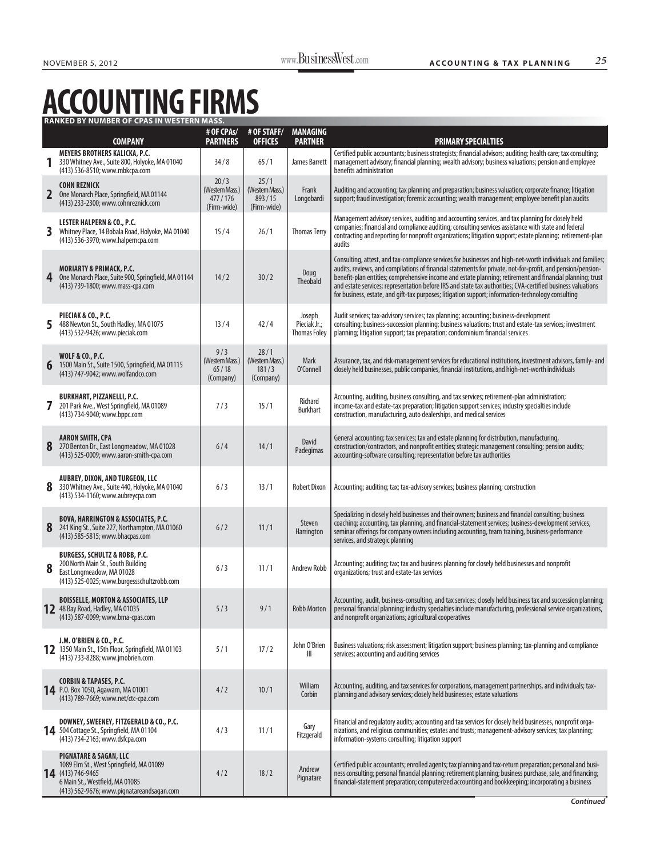## **ACCOUNTING FIRMS**

|   | <b>RANKED BY NUMBER OF CPAS IN WESTERN MASS.</b>                                                                                                                                   |                                                   |                                                  |                                               |                                                                                                                                                                                                                                                                                                                                                                                                                                                                                                                                                              |  |  |  |  |  |
|---|------------------------------------------------------------------------------------------------------------------------------------------------------------------------------------|---------------------------------------------------|--------------------------------------------------|-----------------------------------------------|--------------------------------------------------------------------------------------------------------------------------------------------------------------------------------------------------------------------------------------------------------------------------------------------------------------------------------------------------------------------------------------------------------------------------------------------------------------------------------------------------------------------------------------------------------------|--|--|--|--|--|
|   | <b>COMPANY</b>                                                                                                                                                                     | # OF CPAs/<br><b>PARTNERS</b>                     | # OF STAFF/<br><b>OFFICES</b>                    | <b>MANAGING</b><br><b>PARTNER</b>             | <b>PRIMARY SPECIALTIES</b>                                                                                                                                                                                                                                                                                                                                                                                                                                                                                                                                   |  |  |  |  |  |
|   | MEYERS BROTHERS KALICKA, P.C.<br>330 Whitney Ave., Suite 800, Holyoke, MA 01040<br>(413) 536-8510; www.mbkcpa.com                                                                  | 34/8                                              | 65/1                                             | James Barrett                                 | Certified public accountants; business strategists; financial advisors; auditing; health care; tax consulting;<br>management advisory; financial planning; wealth advisory; business valuations; pension and employee<br>benefits administration                                                                                                                                                                                                                                                                                                             |  |  |  |  |  |
| 2 | <b>COHN REZNICK</b><br>One Monarch Place, Springfield, MA 01144<br>(413) 233-2300; www.cohnreznick.com                                                                             | 20/3<br>(Western Mass.)<br>477/176<br>(Firm-wide) | 25/1<br>(Western Mass.)<br>893/15<br>(Firm-wide) | Frank<br>Longobardi                           | Auditing and accounting; tax planning and preparation; business valuation; corporate finance; litigation<br>support; fraud investigation; forensic accounting; wealth management; employee benefit plan audits                                                                                                                                                                                                                                                                                                                                               |  |  |  |  |  |
| 3 | <b>LESTER HALPERN &amp; CO., P.C.</b><br>Whitney Place, 14 Bobala Road, Holyoke, MA 01040<br>(413) 536-3970; www.halperncpa.com                                                    | 15/4                                              | 26/1                                             | <b>Thomas Terry</b>                           | Management advisory services, auditing and accounting services, and tax planning for closely held<br>companies; financial and compliance auditing; consulting services assistance with state and federal<br>contracting and reporting for nonprofit organizations; litigation support; estate planning; retirement-plan<br>audits                                                                                                                                                                                                                            |  |  |  |  |  |
| 4 | <b>MORIARTY &amp; PRIMACK, P.C.</b><br>One Monarch Place, Suite 900, Springfield, MA 01144<br>(413) 739-1800; www.mass-cpa.com                                                     | 14/2                                              | 30/2                                             | Doug<br>Theobald                              | Consulting, attest, and tax-compliance services for businesses and high-net-worth individuals and families;<br>audits, reviews, and compilations of financial statements for private, not-for-profit, and pension/pension-<br>benefit-plan entities; comprehensive income and estate planning; retirement and financial planning; trust<br>and estate services; representation before IRS and state tax authorities; CVA-certified business valuations<br>for business, estate, and gift-tax purposes; litigation support; information-technology consulting |  |  |  |  |  |
| 5 | PIECIAK & CO., P.C.<br>488 Newton St., South Hadley, MA 01075<br>(413) 532-9426; www.pieciak.com                                                                                   | 13/4                                              | 42/4                                             | Joseph<br>Pieciak Jr.;<br><b>Thomas Foley</b> | Audit services; tax-advisory services; tax planning; accounting; business-development<br>consulting; business-succession planning; business valuations; trust and estate-tax services; investment<br>planning; litigation support; tax preparation; condominium financial services                                                                                                                                                                                                                                                                           |  |  |  |  |  |
| 6 | <b>WOLF &amp; CO., P.C.</b><br>1500 Main St., Suite 1500, Springfield, MA 01115<br>(413) 747-9042; www.wolfandco.com                                                               | 9/3<br>(Western Mass.)<br>65/18<br>(Company)      | 28/1<br>(Western Mass.)<br>181/3<br>(Company)    | Mark<br>O'Connell                             | Assurance, tax, and risk-management services for educational institutions, investment advisors, family- and<br>closely held businesses, public companies, financial institutions, and high-net-worth individuals                                                                                                                                                                                                                                                                                                                                             |  |  |  |  |  |
| 7 | <b>BURKHART, PIZZANELLI, P.C.</b><br>201 Park Ave., West Springfield, MA 01089<br>(413) 734-9040; www.bppc.com                                                                     | 7/3                                               | 15/1                                             | Richard<br><b>Burkhart</b>                    | Accounting, auditing, business consulting, and tax services; retirement-plan administration;<br>income-tax and estate-tax preparation; litigation support services; industry specialties include<br>construction, manufacturing, auto dealerships, and medical services                                                                                                                                                                                                                                                                                      |  |  |  |  |  |
| 8 | <b>AARON SMITH, CPA</b><br>270 Benton Dr., East Longmeadow, MA 01028<br>(413) 525-0009; www.aaron-smith-cpa.com                                                                    | 6/4                                               | 14/1                                             | David<br>Padegimas                            | General accounting; tax services; tax and estate planning for distribution, manufacturing,<br>construction/contractors, and nonprofit entities; strategic management consulting; pension audits;<br>accounting-software consulting; representation before tax authorities                                                                                                                                                                                                                                                                                    |  |  |  |  |  |
| 8 | <b>AUBREY, DIXON, AND TURGEON, LLC</b><br>330 Whitney Ave., Suite 440, Holyoke, MA 01040<br>(413) 534-1160; www.aubreycpa.com                                                      | 6/3                                               | 13/1                                             | <b>Robert Dixon</b>                           | Accounting; auditing; tax; tax-advisory services; business planning; construction                                                                                                                                                                                                                                                                                                                                                                                                                                                                            |  |  |  |  |  |
| 8 | <b>BOVA, HARRINGTON &amp; ASSOCIATES, P.C.</b><br>241 King St., Suite 227, Northampton, MA 01060<br>(413) 585-5815; www.bhacpas.com                                                | 6/2                                               | 11/1                                             | Steven<br>Harrington                          | Specializing in closely held businesses and their owners; business and financial consulting; business<br>coaching; accounting, tax planning, and financial-statement services; business-development services;<br>seminar offerings for company owners including accounting, team training, business-performance<br>services, and strategic planning                                                                                                                                                                                                          |  |  |  |  |  |
| 8 | <b>BURGESS, SCHULTZ &amp; ROBB, P.C.</b><br>200 North Main St., South Building<br>East Longmeadow, MA 01028<br>(413) 525-0025; www.burgessschultzrobb.com                          | 6/3                                               | 11/1                                             | <b>Andrew Robb</b>                            | Accounting; auditing; tax; tax and business planning for closely held businesses and nonprofit<br>organizations; trust and estate-tax services                                                                                                                                                                                                                                                                                                                                                                                                               |  |  |  |  |  |
|   | <b>BOISSELLE, MORTON &amp; ASSOCIATES, LLP</b><br>12 48 Bay Road, Hadley, MA 01035<br>(413) 587-0099; www.bma-cpas.com                                                             | 5/3                                               | 9/1                                              | <b>Robb Morton</b>                            | Accounting, audit, business-consulting, and tax services; closely held business tax and succession planning;<br>personal financial planning; industry specialties include manufacturing, professional service organizations,<br>and nonprofit organizations; agricultural cooperatives                                                                                                                                                                                                                                                                       |  |  |  |  |  |
|   | J.M. O'BRIEN & CO., P.C.<br>12 1350 Main St., 15th Floor, Springfield, MA 01103<br>(413) 733-8288; www.jmobrien.com                                                                | 5/1                                               | 17/2                                             | John O'Brien<br>$\mathbb{H}$                  | Business valuations; risk assessment; litigation support; business planning; tax-planning and compliance<br>services; accounting and auditing services                                                                                                                                                                                                                                                                                                                                                                                                       |  |  |  |  |  |
|   | CORBIN & TAPASES, P.C.<br>14 P.O. Box 1050, Agawam, MA 01001<br>(413) 789-7669; www.net/ctc-cpa.com                                                                                | 4/2                                               | 10/1                                             | William<br>Corbin                             | Accounting, auditing, and tax services for corporations, management partnerships, and individuals; tax-<br>planning and advisory services; closely held businesses; estate valuations                                                                                                                                                                                                                                                                                                                                                                        |  |  |  |  |  |
|   | DOWNEY, SWEENEY, FITZGERALD & CO., P.C.<br>14 504 Cottage St., Springfield, MA 01104<br>(413) 734-2163; www.dsfcpa.com                                                             | 4/3                                               | 11/1                                             | Gary<br>Fitzgerald                            | Financial and regulatory audits; accounting and tax services for closely held businesses, nonprofit orga-<br>nizations, and religious communities; estates and trusts; management-advisory services; tax planning;<br>information-systems consulting; litigation support                                                                                                                                                                                                                                                                                     |  |  |  |  |  |
|   | <b>PIGNATARE &amp; SAGAN, LLC</b><br>1089 Elm St., West Springfield, MA 01089<br>14 (413) 746-9465<br>6 Main St., Westfield, MA 01085<br>(413) 562-9676; www.pignatareandsagan.com | 4/2                                               | 18/2                                             | Andrew<br>Pignatare                           | Certified public accountants; enrolled agents; tax planning and tax-return preparation; personal and busi-<br>ness consulting; personal financial planning; retirement planning; business purchase, sale, and financing;<br>financial-statement preparation; computerized accounting and bookkeeping; incorporating a business                                                                                                                                                                                                                               |  |  |  |  |  |